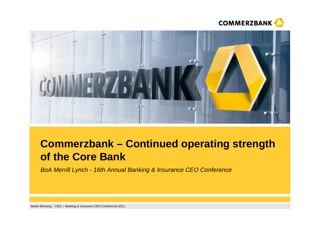



# **Commerzbank – Continued operating strength of the Core Bank**

BoA Merrill Lynch - 16th Annual Banking & Insurance CEO Conference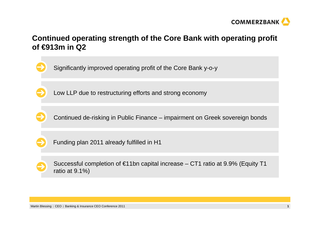

# **Continued operating strength of the Core Bank with operating profit of €913m in Q2**

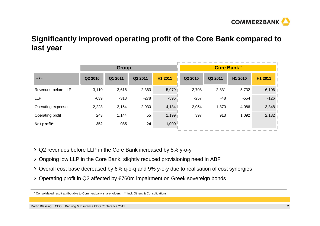

# **Significantly improved operating profit of the Core Bank compared to last year**

|                     |         | <b>Group</b> |         |         |         | <b>Core Bank**</b> |         |         |  |  |
|---------------------|---------|--------------|---------|---------|---------|--------------------|---------|---------|--|--|
| in $\epsilon$ m     | Q2 2010 | Q1 2011      | Q2 2011 | H1 2011 | Q2 2010 | Q2 2011            | H1 2010 | H1 2011 |  |  |
| Revenues before LLP | 3,110   | 3,616        | 2,363   | 5,979   | 2,708   | 2,831              | 5,732   | 6,106   |  |  |
| <b>LLP</b>          | $-639$  | $-318$       | $-278$  | $-596$  | $-257$  | $-48$              | $-554$  | $-126$  |  |  |
| Operating expenses  | 2,228   | 2,154        | 2,030   | 4,184   | 2,054   | 1,870              | 4,086   | 3,848   |  |  |
| Operating profit    | 243     | 1,144        | 55      | 1,199   | 397     | 913                | 1,092   | 2,132   |  |  |
| Net profit*         | 352     | 985          | 24      | 1,009   |         |                    |         |         |  |  |
|                     |         |              |         |         |         |                    |         |         |  |  |

- Q2 revenues before LLP in the Core Bank increased by 5% y-o-y
- Ongoing low LLP in the Core Bank, slightly reduced provisioning need in ABF
- Overall cost base decreased by 6% q-o-q and 9% y-o-y due to realisation of cost synergies
- Operating profit in Q2 affected by €760m impairment on Greek sovereign bonds

<sup>\*</sup> Consolidated result attributable to Commerzbank shareholders \*\* incl. Others & Consolidations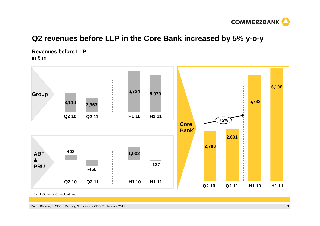

# **Q2 revenues before LLP in the Core Bank increased by 5% y-o-y**

**Revenues before LLP**in  $\epsilon$  m



\* incl. Others & Consolidations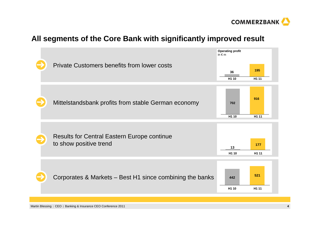

# **All segments of the Core Bank with significantly improved result**

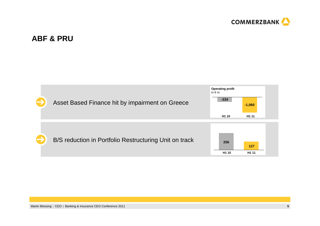

# **ABF & PRU**

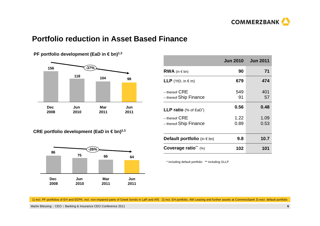

# **Portfolio reduction in Asset Based Finance**



**PF portfolio development (EaD in € bn)<sup>1,3</sup>** 

|  |  | CRE portfolio development (EaD in $\in$ bn) $^{2,3}$ |
|--|--|------------------------------------------------------|
|--|--|------------------------------------------------------|



|                                             | <b>Jun 2010</b> | <b>Jun 2011</b> |
|---------------------------------------------|-----------------|-----------------|
| <b>RWA</b> (in $\in$ bn)                    | 90              | 71              |
| <b>LLP</b> (YtD, in $\in$ m)                | 679             | 474             |
| $-$ thereof $CRE$<br>- thereof Ship Finance | 549<br>91       | 401<br>57       |
| <b>LLP ratio</b> (% of EaD <sup>*</sup> )   | 0.56            | 0.48            |
| $-$ thereof $CRE$<br>- thereof Ship Finance | 1.22<br>0.89    | 1.09<br>0.53    |
| <b>Default portfolio</b> (in $\in$ bn)      | 9.8             | 10.7            |
| Coverage ratio** (%)                        | 102             | 101             |

\* including default portfolio \*\* including GLLP

1) incl. PF portfolios of EH and EEPK; incl. non impaired parts of Greek bonds in LaR and AfS 2) incl. EH portfolio, AM Leasing and further assets at Commerzbank 3) excl. default portfolio

Martin Blessing | CEO | Banking & Insurance CEO Conference 2011 **<sup>6</sup>**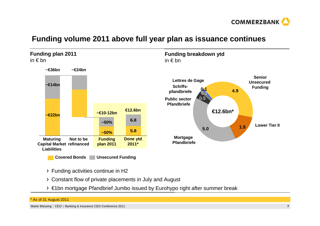

# **Funding volume 2011 above full year plan as issuance continues**



- Funding activities continue in H2
- Constant flow of private placements in July and August
- €1bn mortgage Pfandbrief Jumbo issued by Eurohypo right after summer break

### \* As of 31 August 2011

Martin Blessing | CEO | Banking & Insurance CEO Conference 2011 **<sup>7</sup>**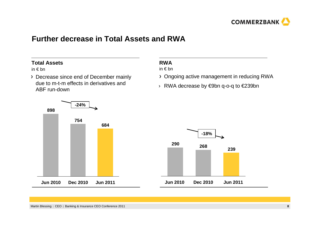

# **Further decrease in Total Assets and RWA**

## **Total Assets**

in € bn

Decrease since end of December mainly due to m-t-m effects in derivatives and ABF run-down

# **RWA**

in € bn

- Ongoing active management in reducing RWA
- › RWA decrease by €9bn q-o-q to €239bn



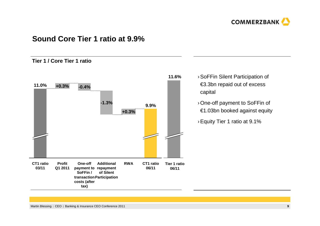

# **Sound Core Tier 1 ratio at 9.9%**

### **Tier 1 / Core Tier 1 ratio**



- › SoFFin Silent Participation of €3.3bn repaid out of excess capital
	- › One-off payment to SoFFin of €1.03bn booked against equity
	- › Equity Tier 1 ratio at 9.1%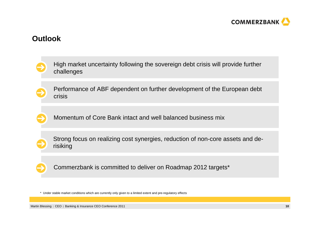

# **Outlook**

| High market uncertainty following the sovereign debt crisis will provide further<br>challenges |
|------------------------------------------------------------------------------------------------|
| Performance of ABF dependent on further development of the European debt<br>crisis             |
| Momentum of Core Bank intact and well balanced business mix                                    |
| Strong focus on realizing cost synergies, reduction of non-core assets and de-<br>risiking     |
| Commerzbank is committed to deliver on Roadmap 2012 targets*                                   |
|                                                                                                |

\* Under stable market conditions which are currently only given to a limited extent and pre-regulatory effects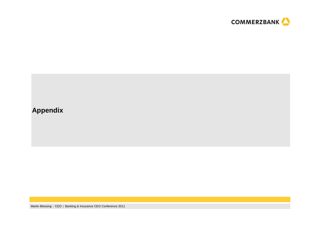

# **Appendix**

Martin Blessing | CEO | Banking & Insurance CEO Conference 2011 **<sup>11</sup>**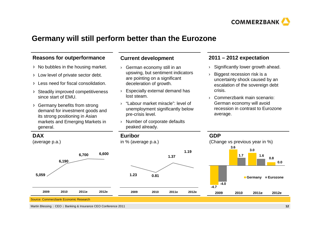

# **Germany will still perform better than the Eurozone**

### **Reasons for outperformance**

- $\rightarrow$  No bubbles in the housing market.
- > Low level of private sector debt.
- Less need for fiscal consolidation.
- Steadily improved competitiveness since start of EMU.
- Germany benefits from strong demand for investment goods and its strong positioning in Asian markets and Emerging Markets in general.

### **Current development**

- › German economy still in an upswing, but sentiment indicators are pointing on a significant deceleration of growth.
- › Especially external demand has lost steam.
- › "Labour market miracle": level of unemployment significantly below pre-crisis level.
- › Number of corporate defaults peaked already.

### **2011 – 2012 expectation**

- ›Significantly lower growth ahead.
- › Biggest recession risk is a uncertainty shock caused by an escalation of the sovereign debt crisis.
- › Commerzbank main scenario: German economy will avoid recession in contrast to Eurozoneaverage.



Martin Blessing | CEO | Banking & Insurance CEO Conference 2011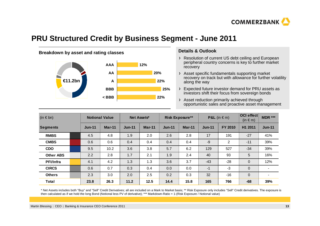

# **PRU Structured Credit by Business Segment - June 2011**



### **Details & Outlook**

- Resolution of current US debt ceiling and European peripheral country concerns is key to further market recovery
- Asset specific fundamentals supporting market recovery on track but with allowance for further volatility along the way
- Expected future investor demand for PRU assets as investors shift their focus from sovereign bonds

Asset reduction primarily achieved through opportunistic sales and proactive asset management

| $(in \in bn)$    |  | <b>Notional Value</b> |          | Net Assets*   |          | <b>Risk Exposure**</b> |          | <b>P&amp;L</b> (in $\in$ m) |                | OCI effect<br>$(in \in m)$ | <b>MDR ***</b> |
|------------------|--|-----------------------|----------|---------------|----------|------------------------|----------|-----------------------------|----------------|----------------------------|----------------|
| <b>Segments</b>  |  | <b>Jun-11</b>         | $Mar-11$ | <b>Jun-11</b> | $Mar-11$ | $Jun-11$               | $Mar-11$ | $Jun-11$                    | <b>FY 2010</b> | H1 2011                    | $Jun-11$       |
| <b>RMBS</b>      |  | 4.5                   | 4.8      | 1.9           | 2.0      | 2.6                    | 2.8      | 17                          | 191            | $-27$                      | 41%            |
| <b>CMBS</b>      |  | 0.6                   | 0.6      | 0.4           | 0.4      | 0.4                    | 0.4      | $-9$                        | 2              | $-11$                      | 39%            |
| <b>CDO</b>       |  | 9.5                   | 10.2     | 3.6           | 3.8      | 5.7                    | 6.2      | 129                         | 527            | $-34$                      | 39%            |
| <b>Other ABS</b> |  | 2.2                   | 2.8      | 1.7           | 2.1      | 1.9                    | 2.4      | 40                          | 93             | 5                          | 16%            |
| <b>PFI/Infra</b> |  | 4.1                   | 4.2      | 1.3           | 1.3      | 3.6                    | 3.7      | $-43$                       | $-28$          | $\mathbf 0$                | 12%            |
| <b>CIRCS</b>     |  | 0.6                   | 0.7      | 0.3           | 0.4      | 0.0                    | 0.0      | $-1$                        | $-3$           | $\mathbf 0$                |                |
| <b>Others</b>    |  | 2.3                   | 3.0      | 2.0           | 2.5      | 0.2                    | 0.3      | 32                          | $-16$          | $\mathbf{0}$               | $\blacksquare$ |
| <b>Total</b>     |  | 23.8                  | 26.3     | 11.2          | 12.5     | 14.4                   | 15.8     | 165                         | 766            | $-68$                      | 39%            |

\* Net Assets includes both "Buy" and "Sell" Credit Derivatives; all are included on a Mark to Market basis; \*\* Risk Exposure only includes "Sell" Credit derivatives. The exposure is then calculated as if we hold the long Bond (Notional less PV of derivative); \*\*\* Markdown-Ratio = 1-(Risk Exposure / Notional value)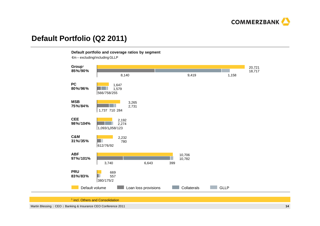

# **Default Portfolio (Q2 2011)**

**Default portfolio and coverage ratios by segment**

 $\epsilon$ m – excluding/including GLLP



<sup>&</sup>lt;sup>1</sup> incl. Others and Consolidation

Martin Blessing | CEO | Banking & Insurance CEO Conference 2011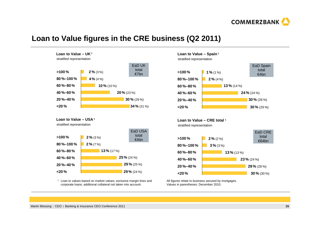

# **Loan to Value figures in the CRE business (Q2 2011)**



**Loan to Value – USA 1**

stratified representation



1 Loan to values based on market values; exclusive margin lines andcorporate loans; additional collateral not taken into account.

### **Loan to Value – Spain 1**

stratified representation



**Loan to Value – CRE total <sup>1</sup>** stratified representation



All figures relate to business secured by mortgages. Values in parentheses: December 2010.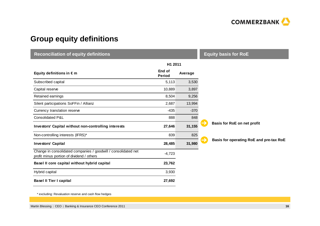

# **Group equity definitions**

| <b>Reconciliation of equity definitions</b>                                                                 | <b>Equity basis for RoE</b> |         |                                         |  |
|-------------------------------------------------------------------------------------------------------------|-----------------------------|---------|-----------------------------------------|--|
|                                                                                                             | H1 2011                     |         |                                         |  |
| Equity definitions in $\epsilon$ m                                                                          | End of<br><b>Period</b>     | Average |                                         |  |
| Subscribed capital                                                                                          | 5,113                       | 3,530   |                                         |  |
| Capital reserve                                                                                             | 10,889                      | 3,897   |                                         |  |
| Retained earnings                                                                                           | 8,504                       | 9,256   |                                         |  |
| Silent participations SoFFin / Allianz                                                                      | 2,687                       | 13,994  |                                         |  |
| Currency translation reserve                                                                                | $-435$                      | $-370$  |                                         |  |
| Consolidated P&L                                                                                            | 888                         | 848     |                                         |  |
| Investors' Capital without non-controlling interests                                                        | 27,646                      | 31,155  | →<br><b>Basis for RoE on net profit</b> |  |
| Non-controlling interests (IFRS)*                                                                           | 839                         | 825     |                                         |  |
| <b>Investors' Capital</b>                                                                                   | 28,485                      | 31,980  | Basis for operating RoE and pre-tax RoE |  |
| Change in consolidated companies / goodwill / consolidated net<br>profit minus portion of dividend / others | $-4,723$                    |         |                                         |  |
| Basel II core capital without hybrid capital                                                                | 23,762                      |         |                                         |  |
| Hybrid capital                                                                                              | 3,930                       |         |                                         |  |
| <b>Basel II Tier I capital</b>                                                                              | 27,692                      |         |                                         |  |

\* excluding: Revaluation reserve and cash flow hedges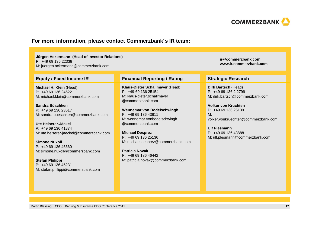

### **For more information, please contact Commerzbank´s IR team:**

### **Jürgen Ackermann (Head of Investor Relations)**

P: +49 69 136 22338

M: juergen.ackermann@commerzbank.com

### **Equity / Fixed Income IR**

**Michael H. Klein** (Head)P: +49 69 136 24522M: michael.klein@commerzbank.com

**Sandra Büschken** P: +49 69 136 23617M: sandra.bueschken@commerzbank.com

**Ute Heiserer-Jäckel** P: +49 69 136 41874M: ute.heiserer-jaeckel@commerzbank.com

**Simone Nuxoll** P: +49 69 136 45660M: simone.nuxoll@commerzbank.com

**Stefan Philippi** P: +49 69 136 45231M: stefan.philippi@commerzbank.com

### **Financial Reporting / Rating Strategic Research**

**Klaus-Dieter Schallmayer** (Head)P: +49-69 136 25154 M: klaus-dieter.schallmayer@commerzbank.com

**Wennemar von Bodelschwingh** $P: +496913643611$  M: wennemar.vonbodelschwingh@commerzbank.com

**Michael Desprez** P: +49 69 136 25136M: michael.desprez@commerzbank.com

**Patricia Novak** P: +49 69 136 46442M: patricia.novak@commerzbank.com **ir@commerzbank.comwww.ir.commerzbank.com**

**Dirk Bartsch** (Head) P: +49 69 136 2 2799 M: dirk.bartsch@commerzbank.com

**Volker von Krüchten** P: +49 69 136 25139 M: volker.vonkruechten@commerzbank.com

**Ulf Plesmann** P: +49 69 136 43888 M: ulf.plesmann@commerzbank.com